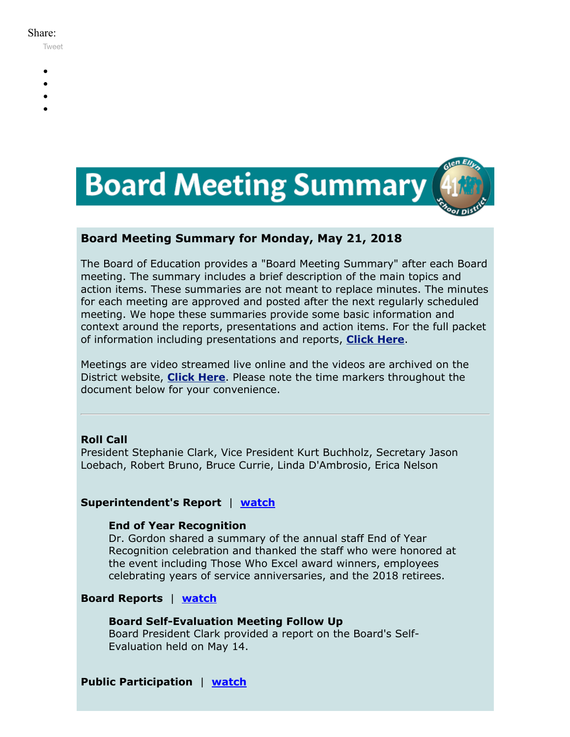#### Share:

[Tweet](https://twitter.com/intent/tweet?original_referer=https%3A%2F%2Fmyemail.constantcontact.com%2FBoard-Meeting-Summary-for-May-21--2018.html%3Fsoid%3D1102200973173%26aid%3DYq-v_efnPGQ&ref_src=twsrc%5Etfw&text=Board%20Meeting%20Summary%20for%20May%2021%2C%202018&tw_p=tweetbutton&url=https%3A%2F%2Fmyemail.constantcontact.com%2FBoard-Meeting-Summary-for-May-21--2018.html%3Fsoid%3D1102200973173%26aid%3DYq-v_efnPGQ)

- 
- 
- 
- 
- 



# **Board Meeting Summary for Monday, May 21, 2018**

The Board of Education provides a "Board Meeting Summary" after each Board meeting. The summary includes a brief description of the main topics and action items. These summaries are not meant to replace minutes. The minutes for each meeting are approved and posted after the next regularly scheduled meeting. We hope these summaries provide some basic information and context around the reports, presentations and action items. For the full packet of information including presentations and reports, **[Click Here](http://www.d41.org/domain/36)**.

Meetings are video streamed live online and the videos are archived on the District website, **[Click Here](http://www.d41.org/domain/463)**. Please note the time markers throughout the document below for your convenience.

# **Roll Call**

President Stephanie Clark, Vice President Kurt Buchholz, Secretary Jason Loebach, Robert Bruno, Bruce Currie, Linda D'Ambrosio, Erica Nelson

# **Superintendent's Report** | **[watch](https://youtu.be/vXj20s6pgwc?t=0m45s)**

# **End of Year Recognition**

Dr. Gordon shared a summary of the annual staff End of Year Recognition celebration and thanked the staff who were honored at the event including Those Who Excel award winners, employees celebrating years of service anniversaries, and the 2018 retirees.

# **Board Reports** | **[watch](https://youtu.be/vXj20s6pgwc?t=3m20s)**

# **Board Self-Evaluation Meeting Follow Up**

Board President Clark provided a report on the Board's Self-Evaluation held on May 14.

# **Public Participation** | **[watch](https://youtu.be/vXj20s6pgwc?t=8m47s)**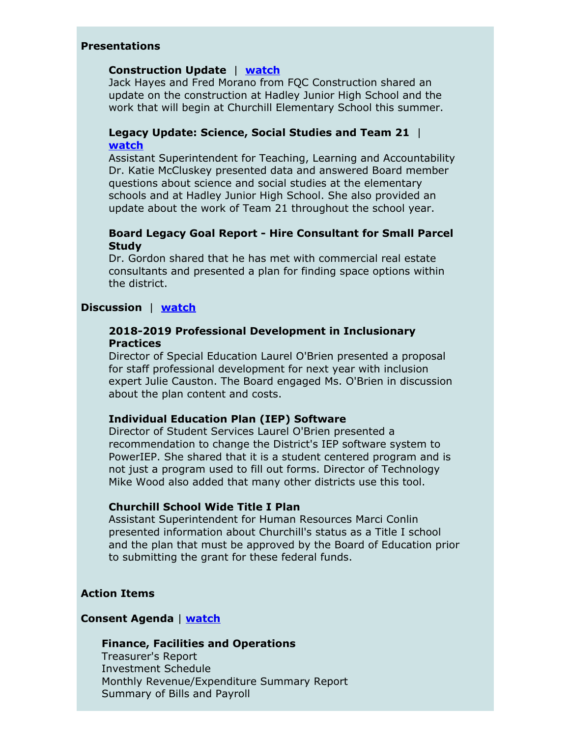# **Presentations**

#### **Construction Update** | **[watch](https://youtu.be/vXj20s6pgwc?t=54m35s)**

Jack Hayes and Fred Morano from FQC Construction shared an update on the construction at Hadley Junior High School and the work that will begin at Churchill Elementary School this summer.

# **Legacy Update: Science, Social Studies and Team 21** | **[watch](https://youtu.be/vXj20s6pgwc?t=1h10m20s)**

Assistant Superintendent for Teaching, Learning and Accountability Dr. Katie McCluskey presented data and answered Board member questions about science and social studies at the elementary schools and at Hadley Junior High School. She also provided an update about the work of Team 21 throughout the school year.

## **Board Legacy Goal Report - Hire Consultant for Small Parcel Study**

Dr. Gordon shared that he has met with commercial real estate consultants and presented a plan for finding space options within the district.

# **Discussion** | **[watch](https://youtu.be/vXj20s6pgwc?t=1h39m38s)**

### **2018-2019 Professional Development in Inclusionary Practices**

Director of Special Education Laurel O'Brien presented a proposal for staff professional development for next year with inclusion expert Julie Causton. The Board engaged Ms. O'Brien in discussion about the plan content and costs.

### **Individual Education Plan (IEP) Software**

Director of Student Services Laurel O'Brien presented a recommendation to change the District's IEP software system to PowerIEP. She shared that it is a student centered program and is not just a program used to fill out forms. Director of Technology Mike Wood also added that many other districts use this tool.

# **Churchill School Wide Title I Plan**

Assistant Superintendent for Human Resources Marci Conlin presented information about Churchill's status as a Title I school and the plan that must be approved by the Board of Education prior to submitting the grant for these federal funds.

# **Action Items**

### **Consent Agenda** | **[watch](https://youtu.be/vXj20s6pgwc?t=2h43m44s)**

### **Finance, Facilities and Operations**

Treasurer's Report Investment Schedule Monthly Revenue/Expenditure Summary Report Summary of Bills and Payroll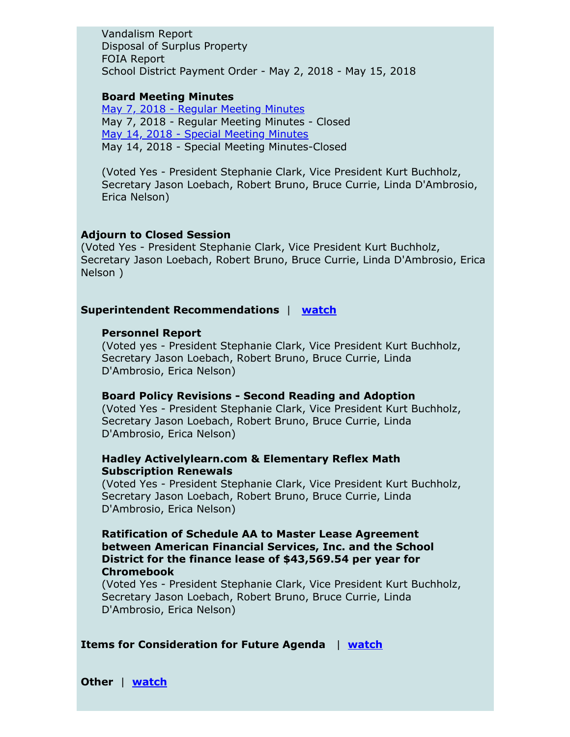Vandalism Report Disposal of Surplus Property FOIA Report School District Payment Order - May 2, 2018 - May 15, 2018

## **Board Meeting Minutes**

May 7, 2018 - Regular [Meeting](https://v3.boardbook.org/Public/PublicItemDownload.aspx?ik=42523430) Minutes May 7, 2018 - Regular Meeting Minutes - Closed May 14, 2018 - Special [Meeting](https://v3.boardbook.org/Public/PublicItemDownload.aspx?ik=42523433) Minutes May 14, 2018 - Special Meeting Minutes-Closed

(Voted Yes - President Stephanie Clark, Vice President Kurt Buchholz, Secretary Jason Loebach, Robert Bruno, Bruce Currie, Linda D'Ambrosio, Erica Nelson)

#### **Adjourn to Closed Session**

(Voted Yes - President Stephanie Clark, Vice President Kurt Buchholz, Secretary Jason Loebach, Robert Bruno, Bruce Currie, Linda D'Ambrosio, Erica Nelson )

## **Superintendent Recommendations** | **[watch](https://youtu.be/vXj20s6pgwc?t=3h37m15s)**

#### **Personnel Report**

(Voted yes - President Stephanie Clark, Vice President Kurt Buchholz, Secretary Jason Loebach, Robert Bruno, Bruce Currie, Linda D'Ambrosio, Erica Nelson)

#### **Board Policy Revisions - Second Reading and Adoption**

(Voted Yes - President Stephanie Clark, Vice President Kurt Buchholz, Secretary Jason Loebach, Robert Bruno, Bruce Currie, Linda D'Ambrosio, Erica Nelson)

# **Hadley Activelylearn.com & Elementary Reflex Math Subscription Renewals**

(Voted Yes - President Stephanie Clark, Vice President Kurt Buchholz, Secretary Jason Loebach, Robert Bruno, Bruce Currie, Linda D'Ambrosio, Erica Nelson)

# **Ratification of Schedule AA to Master Lease Agreement between American Financial Services, Inc. and the School District for the finance lease of \$43,569.54 per year for Chromebook**

(Voted Yes - President Stephanie Clark, Vice President Kurt Buchholz, Secretary Jason Loebach, Robert Bruno, Bruce Currie, Linda D'Ambrosio, Erica Nelson)

### **Items for Consideration for Future Agenda** | **[watch](https://youtu.be/vXj20s6pgwc?t=3h42m34s)**

**Other** | **[watch](https://youtu.be/vXj20s6pgwc?t=3h48m30s)**